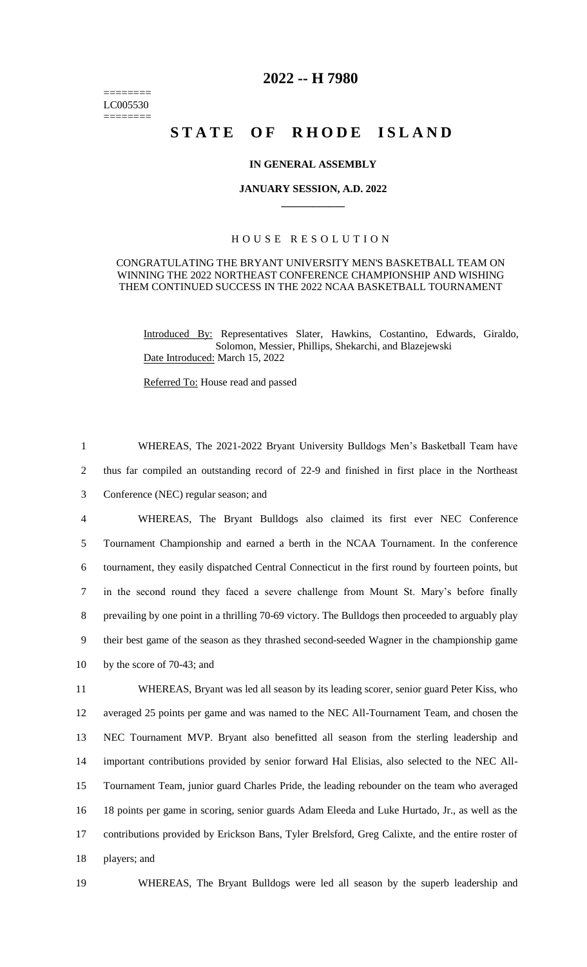======== LC005530 ========

# **2022 -- H 7980**

# STATE OF RHODE ISLAND

### **IN GENERAL ASSEMBLY**

#### **JANUARY SESSION, A.D. 2022 \_\_\_\_\_\_\_\_\_\_\_\_**

## H O U S E R E S O L U T I O N

#### CONGRATULATING THE BRYANT UNIVERSITY MEN'S BASKETBALL TEAM ON WINNING THE 2022 NORTHEAST CONFERENCE CHAMPIONSHIP AND WISHING THEM CONTINUED SUCCESS IN THE 2022 NCAA BASKETBALL TOURNAMENT

Introduced By: Representatives Slater, Hawkins, Costantino, Edwards, Giraldo, Solomon, Messier, Phillips, Shekarchi, and Blazejewski Date Introduced: March 15, 2022

Referred To: House read and passed

 WHEREAS, The 2021-2022 Bryant University Bulldogs Men's Basketball Team have thus far compiled an outstanding record of 22-9 and finished in first place in the Northeast Conference (NEC) regular season; and WHEREAS, The Bryant Bulldogs also claimed its first ever NEC Conference Tournament Championship and earned a berth in the NCAA Tournament. In the conference tournament, they easily dispatched Central Connecticut in the first round by fourteen points, but in the second round they faced a severe challenge from Mount St. Mary's before finally prevailing by one point in a thrilling 70-69 victory. The Bulldogs then proceeded to arguably play their best game of the season as they thrashed second-seeded Wagner in the championship game

10 by the score of 70-43; and

 WHEREAS, Bryant was led all season by its leading scorer, senior guard Peter Kiss, who averaged 25 points per game and was named to the NEC All-Tournament Team, and chosen the NEC Tournament MVP. Bryant also benefitted all season from the sterling leadership and important contributions provided by senior forward Hal Elisias, also selected to the NEC All- Tournament Team, junior guard Charles Pride, the leading rebounder on the team who averaged 18 points per game in scoring, senior guards Adam Eleeda and Luke Hurtado, Jr., as well as the contributions provided by Erickson Bans, Tyler Brelsford, Greg Calixte, and the entire roster of players; and

19 WHEREAS, The Bryant Bulldogs were led all season by the superb leadership and